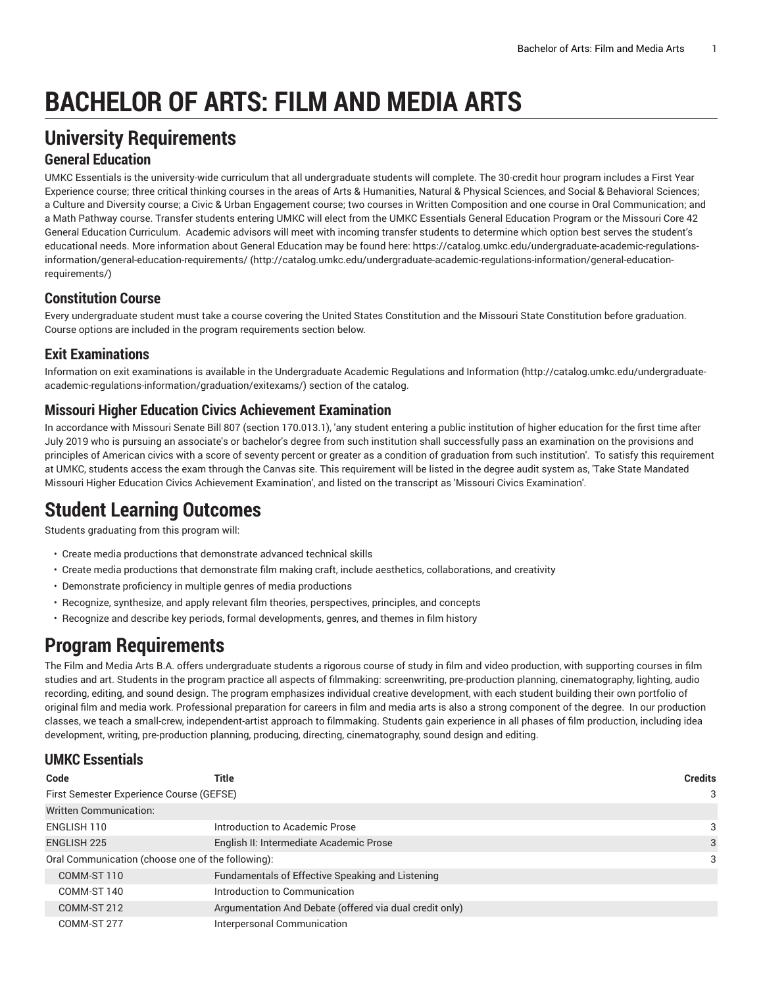# **BACHELOR OF ARTS: FILM AND MEDIA ARTS**

## **University Requirements**

#### **General Education**

UMKC Essentials is the university-wide curriculum that all undergraduate students will complete. The 30-credit hour program includes a First Year Experience course; three critical thinking courses in the areas of Arts & Humanities, Natural & Physical Sciences, and Social & Behavioral Sciences; a Culture and Diversity course; a Civic & Urban Engagement course; two courses in Written Composition and one course in Oral Communication; and a Math Pathway course. Transfer students entering UMKC will elect from the UMKC Essentials General Education Program or the Missouri Core 42 General Education Curriculum. Academic advisors will meet with incoming transfer students to determine which option best serves the student's educational needs. More information about General Education may be found here: [https://catalog.umkc.edu/undergraduate-academic-regulations](http://catalog.umkc.edu/undergraduate-academic-regulations-information/general-education-requirements/)[information/general-education-requirements/](http://catalog.umkc.edu/undergraduate-academic-regulations-information/general-education-requirements/) ([http://catalog.umkc.edu/undergraduate-academic-regulations-information/general-education](http://catalog.umkc.edu/undergraduate-academic-regulations-information/general-education-requirements/)[requirements/\)](http://catalog.umkc.edu/undergraduate-academic-regulations-information/general-education-requirements/)

### **Constitution Course**

Every undergraduate student must take a course covering the United States Constitution and the Missouri State Constitution before graduation. Course options are included in the program requirements section below.

### **Exit Examinations**

Information on exit examinations is available in the [Undergraduate](http://catalog.umkc.edu/undergraduate-academic-regulations-information/graduation/exitexams/) Academic Regulations and Information [\(http://catalog.umkc.edu/undergraduate](http://catalog.umkc.edu/undergraduate-academic-regulations-information/graduation/exitexams/)[academic-regulations-information/graduation/exitexams/](http://catalog.umkc.edu/undergraduate-academic-regulations-information/graduation/exitexams/)) section of the catalog.

#### **Missouri Higher Education Civics Achievement Examination**

In accordance with Missouri Senate Bill 807 (section 170.013.1), 'any student entering a public institution of higher education for the first time after July 2019 who is pursuing an associate's or bachelor's degree from such institution shall successfully pass an examination on the provisions and principles of American civics with a score of seventy percent or greater as a condition of graduation from such institution'. To satisfy this requirement at UMKC, students access the exam through the Canvas site. This requirement will be listed in the degree audit system as, 'Take State Mandated Missouri Higher Education Civics Achievement Examination', and listed on the transcript as 'Missouri Civics Examination'.

### **Student Learning Outcomes**

Students graduating from this program will:

- Create media productions that demonstrate advanced technical skills
- Create media productions that demonstrate film making craft, include aesthetics, collaborations, and creativity
- Demonstrate proficiency in multiple genres of media productions
- Recognize, synthesize, and apply relevant film theories, perspectives, principles, and concepts
- Recognize and describe key periods, formal developments, genres, and themes in film history

### **Program Requirements**

The Film and Media Arts B.A. offers undergraduate students a rigorous course of study in film and video production, with supporting courses in film studies and art. Students in the program practice all aspects of filmmaking: screenwriting, pre-production planning, cinematography, lighting, audio recording, editing, and sound design. The program emphasizes individual creative development, with each student building their own portfolio of original film and media work. Professional preparation for careers in film and media arts is also a strong component of the degree. In our production classes, we teach a small-crew, independent-artist approach to filmmaking. Students gain experience in all phases of film production, including idea development, writing, pre-production planning, producing, directing, cinematography, sound design and editing.

### **UMKC Essentials**

| Code                                              | Title                                                   | <b>Credits</b> |   |
|---------------------------------------------------|---------------------------------------------------------|----------------|---|
| First Semester Experience Course (GEFSE)          |                                                         |                | 3 |
| <b>Written Communication:</b>                     |                                                         |                |   |
| ENGLISH 110                                       | Introduction to Academic Prose                          |                | 3 |
| <b>ENGLISH 225</b>                                | English II: Intermediate Academic Prose                 |                | 3 |
| Oral Communication (choose one of the following): |                                                         |                | 3 |
| COMM-ST 110                                       | Fundamentals of Effective Speaking and Listening        |                |   |
| COMM-ST 140                                       | Introduction to Communication                           |                |   |
| COMM-ST 212                                       | Argumentation And Debate (offered via dual credit only) |                |   |
| COMM-ST 277                                       | Interpersonal Communication                             |                |   |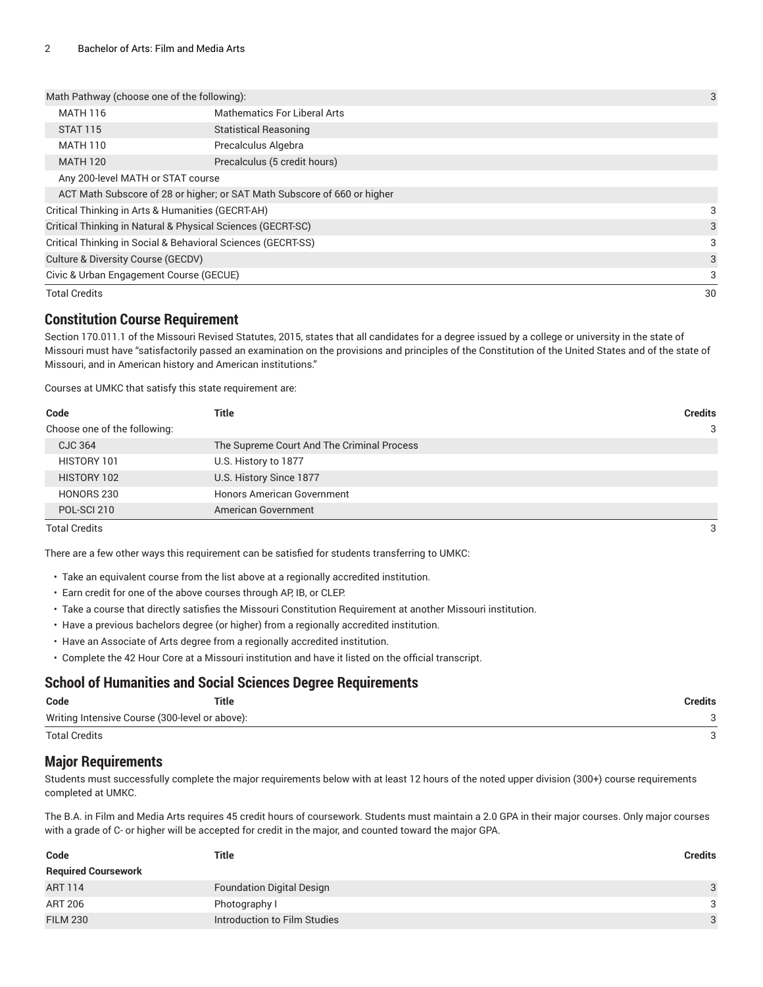| Math Pathway (choose one of the following):                  | 3                                                                        |    |  |
|--------------------------------------------------------------|--------------------------------------------------------------------------|----|--|
| Mathematics For Liberal Arts<br><b>MATH 116</b>              |                                                                          |    |  |
| <b>STAT 115</b>                                              | <b>Statistical Reasoning</b>                                             |    |  |
| <b>MATH 110</b>                                              | Precalculus Algebra                                                      |    |  |
| <b>MATH 120</b>                                              | Precalculus (5 credit hours)                                             |    |  |
| Any 200-level MATH or STAT course                            |                                                                          |    |  |
|                                                              | ACT Math Subscore of 28 or higher; or SAT Math Subscore of 660 or higher |    |  |
| Critical Thinking in Arts & Humanities (GECRT-AH)            |                                                                          | 3  |  |
| Critical Thinking in Natural & Physical Sciences (GECRT-SC)  |                                                                          | 3  |  |
| Critical Thinking in Social & Behavioral Sciences (GECRT-SS) |                                                                          | 3  |  |
| Culture & Diversity Course (GECDV)                           |                                                                          | 3  |  |
| Civic & Urban Engagement Course (GECUE)                      |                                                                          | 3  |  |
| <b>Total Credits</b>                                         |                                                                          | 30 |  |

#### **Constitution Course Requirement**

Section 170.011.1 of the Missouri Revised Statutes, 2015, states that all candidates for a degree issued by a college or university in the state of Missouri must have "satisfactorily passed an examination on the provisions and principles of the Constitution of the United States and of the state of Missouri, and in American history and American institutions."

Courses at UMKC that satisfy this state requirement are:

| Code                         | Title                                      | <b>Credits</b> |
|------------------------------|--------------------------------------------|----------------|
| Choose one of the following: |                                            | 3              |
| CJC 364                      | The Supreme Court And The Criminal Process |                |
| HISTORY 101                  | U.S. History to 1877                       |                |
| HISTORY 102                  | U.S. History Since 1877                    |                |
| HONORS 230                   | <b>Honors American Government</b>          |                |
| POL-SCI 210                  | American Government                        |                |
| <b>Total Credits</b>         |                                            | 3              |

There are a few other ways this requirement can be satisfied for students transferring to UMKC:

- Take an equivalent course from the list above at a regionally accredited institution.
- Earn credit for one of the above courses through AP, IB, or CLEP.
- Take a course that directly satisfies the Missouri Constitution Requirement at another Missouri institution.
- Have a previous bachelors degree (or higher) from a regionally accredited institution.
- Have an Associate of Arts degree from a regionally accredited institution.
- Complete the 42 Hour Core at a Missouri institution and have it listed on the official transcript.

#### **School of Humanities and Social Sciences Degree Requirements**

| Code                                           | <b>Title</b> | Credits |
|------------------------------------------------|--------------|---------|
| Writing Intensive Course (300-level or above): |              |         |
| <b>Total Credits</b>                           |              |         |

#### **Major Requirements**

Students must successfully complete the major requirements below with at least 12 hours of the noted upper division (300+) course requirements completed at UMKC.

The B.A. in Film and Media Arts requires 45 credit hours of coursework. Students must maintain a 2.0 GPA in their major courses. Only major courses with a grade of C- or higher will be accepted for credit in the major, and counted toward the major GPA.

| Code                       | Title                            | Credits |
|----------------------------|----------------------------------|---------|
| <b>Required Coursework</b> |                                  |         |
| <b>ART 114</b>             | <b>Foundation Digital Design</b> | 3       |
| ART 206                    | Photography I                    | 3       |
| <b>FILM 230</b>            | Introduction to Film Studies     | 3       |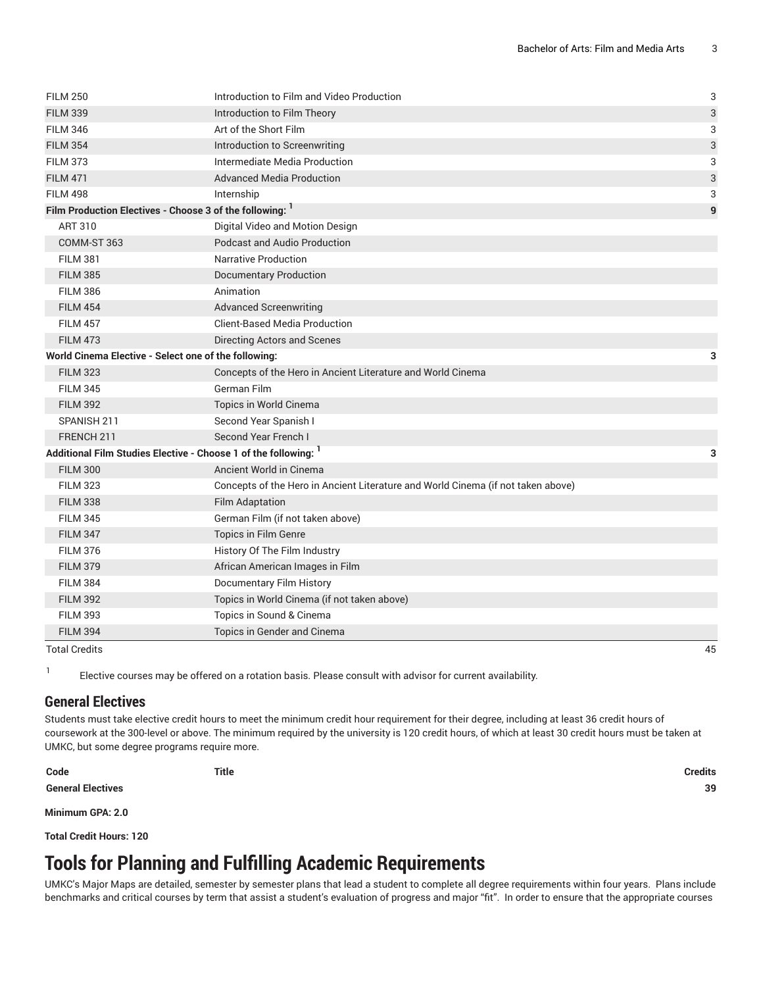| <b>FILM 250</b>                                               | Introduction to Film and Video Production                                        | 3  |
|---------------------------------------------------------------|----------------------------------------------------------------------------------|----|
| <b>FILM 339</b>                                               | Introduction to Film Theory                                                      | 3  |
| <b>FILM 346</b>                                               | Art of the Short Film                                                            | 3  |
| <b>FILM 354</b>                                               | Introduction to Screenwriting                                                    | 3  |
| <b>FILM 373</b>                                               | Intermediate Media Production                                                    | 3  |
| <b>FILM 471</b>                                               | <b>Advanced Media Production</b>                                                 | 3  |
| <b>FILM 498</b>                                               | Internship                                                                       | 3  |
| Film Production Electives - Choose 3 of the following: 1      |                                                                                  | 9  |
| <b>ART 310</b>                                                | Digital Video and Motion Design                                                  |    |
| COMM-ST 363                                                   | <b>Podcast and Audio Production</b>                                              |    |
| <b>FILM 381</b>                                               | Narrative Production                                                             |    |
| <b>FILM 385</b>                                               | <b>Documentary Production</b>                                                    |    |
| <b>FILM 386</b>                                               | Animation                                                                        |    |
| <b>FILM 454</b>                                               | <b>Advanced Screenwriting</b>                                                    |    |
| <b>FILM 457</b>                                               | <b>Client-Based Media Production</b>                                             |    |
| <b>FILM 473</b>                                               | <b>Directing Actors and Scenes</b>                                               |    |
| World Cinema Elective - Select one of the following:          |                                                                                  | 3  |
| <b>FILM 323</b>                                               | Concepts of the Hero in Ancient Literature and World Cinema                      |    |
| <b>FILM 345</b>                                               | German Film                                                                      |    |
| <b>FILM 392</b>                                               | Topics in World Cinema                                                           |    |
| SPANISH 211                                                   | Second Year Spanish I                                                            |    |
| FRENCH 211                                                    | Second Year French I                                                             |    |
| Additional Film Studies Elective - Choose 1 of the following: |                                                                                  | 3  |
| <b>FILM 300</b>                                               | Ancient World in Cinema                                                          |    |
| <b>FILM 323</b>                                               | Concepts of the Hero in Ancient Literature and World Cinema (if not taken above) |    |
| <b>FILM 338</b>                                               | <b>Film Adaptation</b>                                                           |    |
| <b>FILM 345</b>                                               | German Film (if not taken above)                                                 |    |
| <b>FILM 347</b>                                               | Topics in Film Genre                                                             |    |
| <b>FILM 376</b>                                               | History Of The Film Industry                                                     |    |
| <b>FILM 379</b>                                               | African American Images in Film                                                  |    |
| <b>FILM 384</b>                                               | <b>Documentary Film History</b>                                                  |    |
| <b>FILM 392</b>                                               | Topics in World Cinema (if not taken above)                                      |    |
| <b>FILM 393</b>                                               | Topics in Sound & Cinema                                                         |    |
| <b>FILM 394</b>                                               | Topics in Gender and Cinema                                                      |    |
| <b>Total Credits</b>                                          |                                                                                  | 45 |

1

Elective courses may be offered on a rotation basis. Please consult with advisor for current availability.

#### **General Electives**

Students must take elective credit hours to meet the minimum credit hour requirement for their degree, including at least 36 credit hours of coursework at the 300-level or above. The minimum required by the university is 120 credit hours, of which at least 30 credit hours must be taken at UMKC, but some degree programs require more.

**Code Title Credits**

**Minimum GPA: 2.0**

**Total Credit Hours: 120**

### **Tools for Planning and Fulfilling Academic Requirements**

UMKC's Major Maps are detailed, semester by semester plans that lead a student to complete all degree requirements within four years. Plans include benchmarks and critical courses by term that assist a student's evaluation of progress and major "fit". In order to ensure that the appropriate courses

**General Electives 39**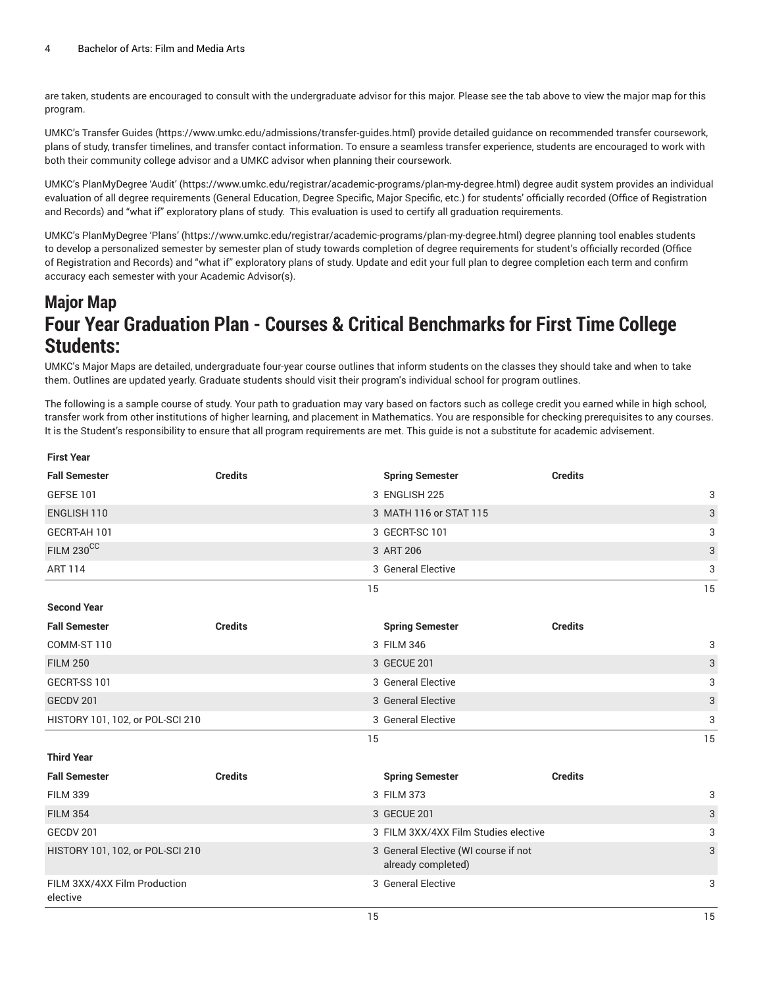are taken, students are encouraged to consult with the undergraduate advisor for this major. Please see the tab above to view the major map for this program.

UMKC's [Transfer](https://www.umkc.edu/admissions/transfer-guides.html) Guides [\(https://www.umkc.edu/admissions/transfer-guides.html](https://www.umkc.edu/admissions/transfer-guides.html)) provide detailed guidance on recommended transfer coursework, plans of study, transfer timelines, and transfer contact information. To ensure a seamless transfer experience, students are encouraged to work with both their community college advisor and a UMKC advisor when planning their coursework.

UMKC's [PlanMyDegree](https://www.umkc.edu/registrar/academic-programs/plan-my-degree.html) 'Audit' ([https://www.umkc.edu/registrar/academic-programs/plan-my-degree.html\)](https://www.umkc.edu/registrar/academic-programs/plan-my-degree.html) degree audit system provides an individual evaluation of all degree requirements (General Education, Degree Specific, Major Specific, etc.) for students' officially recorded (Office of Registration and Records) and "what if" exploratory plans of study. This evaluation is used to certify all graduation requirements.

UMKC's [PlanMyDegree](https://www.umkc.edu/registrar/academic-programs/plan-my-degree.html) 'Plans' [\(https://www.umkc.edu/registrar/academic-programs/plan-my-degree.html\)](https://www.umkc.edu/registrar/academic-programs/plan-my-degree.html) degree planning tool enables students to develop a personalized semester by semester plan of study towards completion of degree requirements for student's officially recorded (Office of Registration and Records) and "what if" exploratory plans of study. Update and edit your full plan to degree completion each term and confirm accuracy each semester with your Academic Advisor(s).

# **Major Map Four Year Graduation Plan - Courses & Critical Benchmarks for First Time College Students:**

UMKC's Major Maps are detailed, undergraduate four-year course outlines that inform students on the classes they should take and when to take them. Outlines are updated yearly. Graduate students should visit their program's individual school for program outlines.

The following is a sample course of study. Your path to graduation may vary based on factors such as college credit you earned while in high school, transfer work from other institutions of higher learning, and placement in Mathematics. You are responsible for checking prerequisites to any courses. It is the Student's responsibility to ensure that all program requirements are met. This guide is not a substitute for academic advisement.

| <b>First Year</b>                        |                |                                                            |                |    |
|------------------------------------------|----------------|------------------------------------------------------------|----------------|----|
| <b>Fall Semester</b>                     | <b>Credits</b> | <b>Spring Semester</b>                                     | <b>Credits</b> |    |
| GEFSE 101                                |                | 3 ENGLISH 225                                              |                | 3  |
| ENGLISH 110                              |                | 3 MATH 116 or STAT 115                                     |                | 3  |
| GECRT-AH 101                             |                | 3 GECRT-SC 101                                             |                | 3  |
| $FILM 230^{CC}$                          |                | 3 ART 206                                                  |                | 3  |
| <b>ART 114</b>                           |                | 3 General Elective                                         |                | 3  |
|                                          |                | 15                                                         |                | 15 |
| <b>Second Year</b>                       |                |                                                            |                |    |
| <b>Fall Semester</b>                     | <b>Credits</b> | <b>Spring Semester</b>                                     | <b>Credits</b> |    |
| COMM-ST 110                              |                | 3 FILM 346                                                 |                | 3  |
| <b>FILM 250</b>                          |                | 3 GECUE 201                                                |                | 3  |
| GECRT-SS 101                             |                | 3 General Elective                                         |                | 3  |
| GECDV 201                                |                | 3 General Elective                                         |                | 3  |
| HISTORY 101, 102, or POL-SCI 210         |                | 3 General Elective                                         |                | 3  |
|                                          |                | 15                                                         |                | 15 |
| <b>Third Year</b>                        |                |                                                            |                |    |
| <b>Fall Semester</b>                     | <b>Credits</b> | <b>Spring Semester</b>                                     | <b>Credits</b> |    |
| <b>FILM 339</b>                          |                | 3 FILM 373                                                 |                | 3  |
| <b>FILM 354</b>                          |                | 3 GECUE 201                                                |                | 3  |
| GECDV 201                                |                | 3 FILM 3XX/4XX Film Studies elective                       |                | 3  |
| HISTORY 101, 102, or POL-SCI 210         |                | 3 General Elective (WI course if not<br>already completed) |                | 3  |
| FILM 3XX/4XX Film Production<br>elective |                | 3 General Elective                                         |                | 3  |